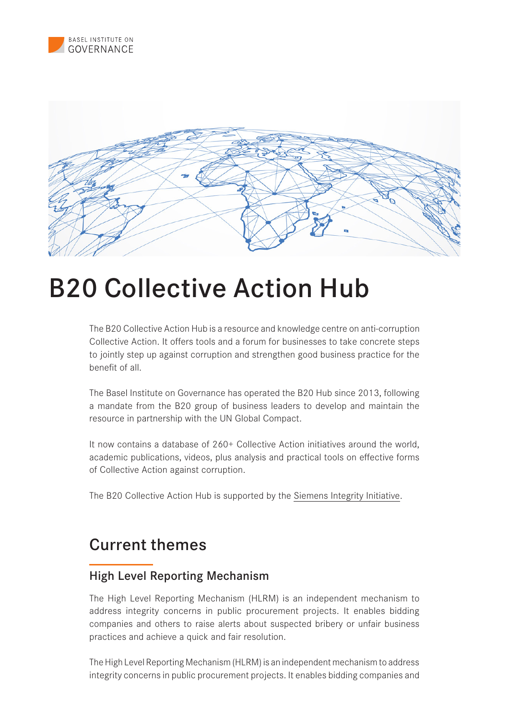



# B20 Collective Action Hub

The B20 Collective Action Hub is a resource and knowledge centre on anti-corruption Collective Action. It offers tools and a forum for businesses to take concrete steps to jointly step up against corruption and strengthen good business practice for the benefit of all.

The Basel Institute on Governance has operated the B20 Hub since 2013, following a mandate from the B20 group of business leaders to develop and maintain the resource in partnership with the UN Global Compact.

It now contains a database of 260+ Collective Action initiatives around the world, academic publications, videos, plus analysis and practical tools on effective forms of Collective Action against corruption.

The B20 Collective Action Hub is supported by the [Siemens Integrity Initiative.](https://new.siemens.com/global/en/company/sustainability/compliance/collective-action.html)

## Current themes

#### High Level Reporting Mechanism

The High Level Reporting Mechanism (HLRM) is an independent mechanism to address integrity concerns in public procurement projects. It enables bidding companies and others to raise alerts about suspected bribery or unfair business practices and achieve a quick and fair resolution.

The High Level Reporting Mechanism (HLRM) is an independent mechanism to address integrity concerns in public procurement projects. It enables bidding companies and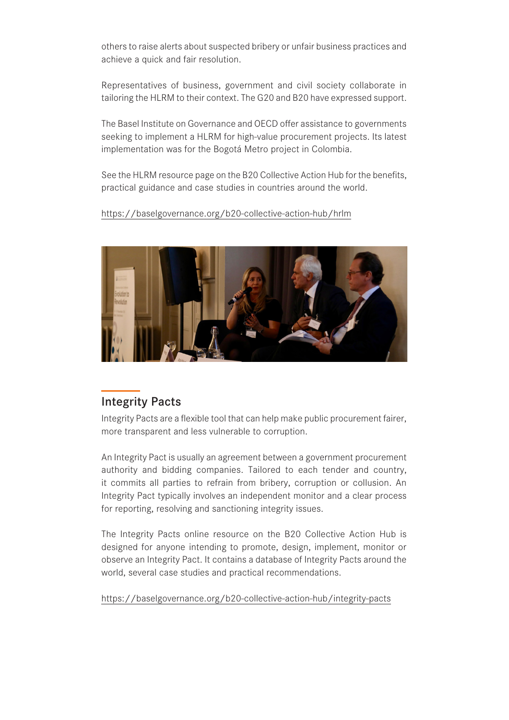others to raise alerts about suspected bribery or unfair business practices and achieve a quick and fair resolution.

Representatives of business, government and civil society collaborate in tailoring the HLRM to their context. The G20 and B20 have expressed support.

The Basel Institute on Governance and OECD offer assistance to governments seeking to implement a HLRM for high-value procurement projects. Its latest implementation was for the Bogotá Metro project in Colombia.

See the HLRM resource page on the B20 Collective Action Hub for the benefits, practical guidance and case studies in countries around the world.

https://baselgovernance.org/b20-collective-action-hub/hrlm



### Integrity Pacts

Integrity Pacts are a flexible tool that can help make public procurement fairer, more transparent and less vulnerable to corruption.

An Integrity Pact is usually an agreement between a government procurement authority and bidding companies. Tailored to each tender and country, it commits all parties to refrain from bribery, corruption or collusion. An Integrity Pact typically involves an independent monitor and a clear process for reporting, resolving and sanctioning integrity issues.

The Integrity Pacts online resource on the B20 Collective Action Hub is designed for anyone intending to promote, design, implement, monitor or observe an Integrity Pact. It contains a database of Integrity Pacts around the world, several case studies and practical recommendations.

https://baselgovernance.org/b20-collective-action-hub/integrity-pacts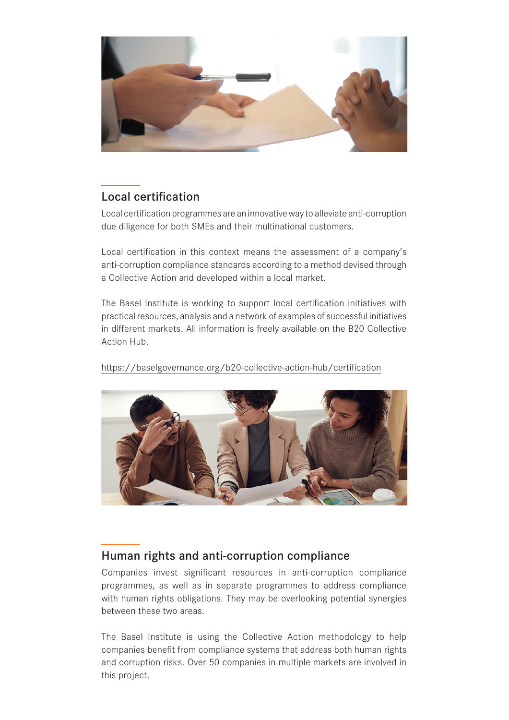

### Local certification

Local certification programmes are an innovative way to alleviate anti-corruption due diligence for both SMEs and their multinational customers.

Local certification in this context means the assessment of a company's anti-corruption compliance standards according to a method devised through a Collective Action and developed within a local market.

The Basel Institute is working to support local certification initiatives with practical resources, analysis and a network of examples of successful initiatives in different markets. All information is freely available on the B20 Collective Action Hub.

https://baselgovernance.org/b20-collective-action-hub/certification



### Human rights and anti-corruption compliance

Companies invest significant resources in anti-corruption compliance programmes, as well as in separate programmes to address compliance with human rights obligations. They may be overlooking potential synergies between these two areas.

The Basel Institute is using the Collective Action methodology to help companies benefit from compliance systems that address both human rights and corruption risks. Over 50 companies in multiple markets are involved in this project.